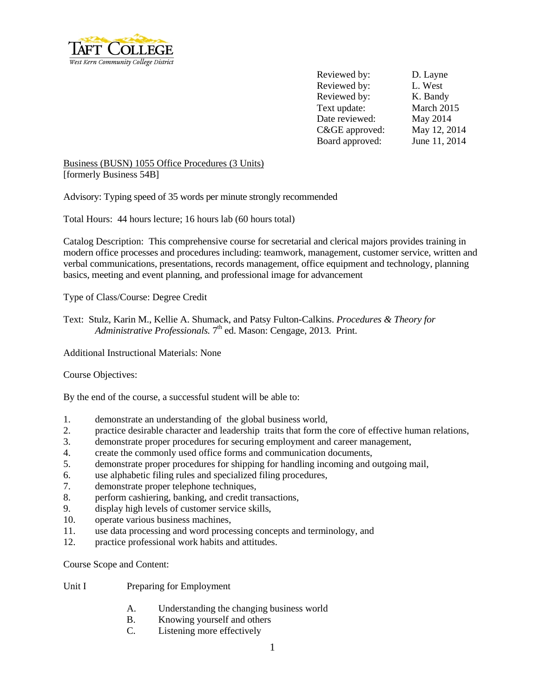

Reviewed by: D. Layne Reviewed by: L. West Reviewed by: K. Bandy Text update: March 2015 Date reviewed: May 2014 C&GE approved: May 12, 2014 Board approved: June 11, 2014

Business (BUSN) 1055 Office Procedures (3 Units) [formerly Business 54B]

Advisory: Typing speed of 35 words per minute strongly recommended

Total Hours: 44 hours lecture; 16 hours lab (60 hours total)

Catalog Description: This comprehensive course for secretarial and clerical majors provides training in modern office processes and procedures including: teamwork, management, customer service, written and verbal communications, presentations, records management, office equipment and technology, planning basics, meeting and event planning, and professional image for advancement

Type of Class/Course: Degree Credit

Text: Stulz, Karin M., Kellie A. Shumack, and Patsy Fulton-Calkins. *Procedures & Theory for Administrative Professionals.* 7<sup>th</sup> ed. Mason: Cengage, 2013. Print.

Additional Instructional Materials: None

## Course Objectives:

By the end of the course, a successful student will be able to:

- 1. demonstrate an understanding of the global business world,
- 2. practice desirable character and leadership traits that form the core of effective human relations,
- 3. demonstrate proper procedures for securing employment and career management,
- 4. create the commonly used office forms and communication documents,
- 5. demonstrate proper procedures for shipping for handling incoming and outgoing mail,
- 6. use alphabetic filing rules and specialized filing procedures,
- 7. demonstrate proper telephone techniques,
- 8. perform cashiering, banking, and credit transactions,
- 9. display high levels of customer service skills,
- 10. operate various business machines,
- 11. use data processing and word processing concepts and terminology, and
- 12. practice professional work habits and attitudes.

Course Scope and Content:

- Unit I Preparing for Employment
	- A. Understanding the changing business world
	- B. Knowing yourself and others
	- C. Listening more effectively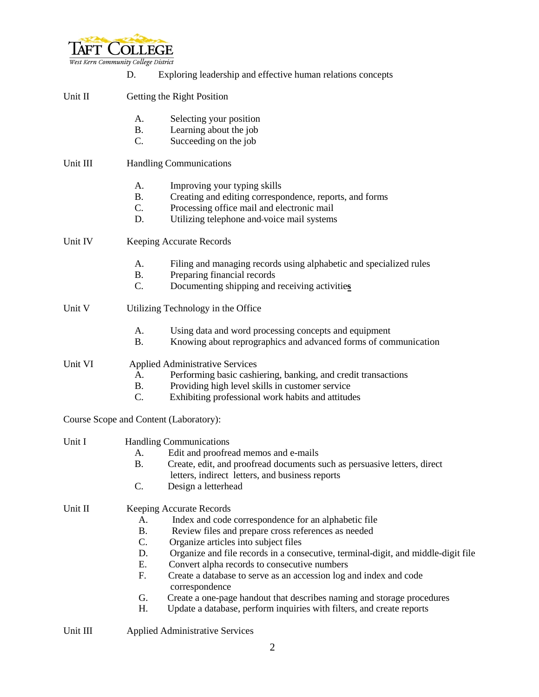

|          | Exploring leadership and effective human relations concepts<br>D.                                                               |
|----------|---------------------------------------------------------------------------------------------------------------------------------|
| Unit II  | Getting the Right Position                                                                                                      |
|          | Selecting your position<br>A.                                                                                                   |
|          | Learning about the job<br><b>B.</b>                                                                                             |
|          | C.<br>Succeeding on the job                                                                                                     |
| Unit III | <b>Handling Communications</b>                                                                                                  |
|          | A.<br>Improving your typing skills                                                                                              |
|          | <b>B.</b><br>Creating and editing correspondence, reports, and forms                                                            |
|          | $C_{\cdot}$<br>Processing office mail and electronic mail                                                                       |
|          | D.<br>Utilizing telephone and-voice mail systems                                                                                |
| Unit IV  | <b>Keeping Accurate Records</b>                                                                                                 |
|          | A.<br>Filing and managing records using alphabetic and specialized rules                                                        |
|          | Preparing financial records<br><b>B.</b>                                                                                        |
|          | $C_{\cdot}$<br>Documenting shipping and receiving activities                                                                    |
| Unit V   | Utilizing Technology in the Office                                                                                              |
|          | Using data and word processing concepts and equipment<br>A.                                                                     |
|          | Knowing about reprographics and advanced forms of communication<br><b>B.</b>                                                    |
| Unit VI  | <b>Applied Administrative Services</b>                                                                                          |
|          | Performing basic cashiering, banking, and credit transactions<br>A.                                                             |
|          | Providing high level skills in customer service<br><b>B.</b>                                                                    |
|          | $\mathcal{C}$ .<br>Exhibiting professional work habits and attitudes                                                            |
|          | Course Scope and Content (Laboratory):                                                                                          |
| Unit I   | <b>Handling Communications</b>                                                                                                  |
|          | Edit and proofread memos and e-mails<br>А.                                                                                      |
|          | Β.<br>Create, edit, and proofread documents such as persuasive letters, direct                                                  |
|          | letters, indirect letters, and business reports                                                                                 |
|          | C.<br>Design a letterhead                                                                                                       |
| Unit II  | Keeping Accurate Records                                                                                                        |
|          | Index and code correspondence for an alphabetic file<br>А.                                                                      |
|          | <b>B.</b><br>Review files and prepare cross references as needed<br>$C_{\cdot}$                                                 |
|          | Organize articles into subject files<br>Organize and file records in a consecutive, terminal-digit, and middle-digit file<br>D. |
|          | Ε.<br>Convert alpha records to consecutive numbers                                                                              |
|          | F.<br>Create a database to serve as an accession log and index and code                                                         |
|          | correspondence                                                                                                                  |
|          | G.<br>Create a one-page handout that describes naming and storage procedures                                                    |
|          | Н.<br>Update a database, perform inquiries with filters, and create reports                                                     |
| Unit III | <b>Applied Administrative Services</b>                                                                                          |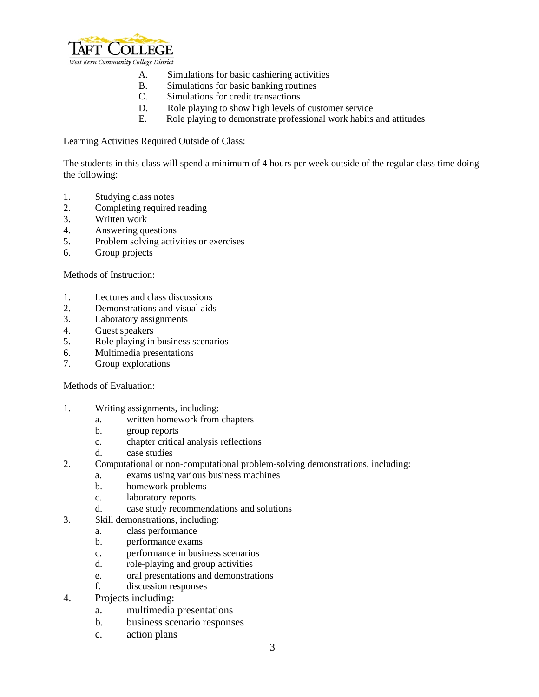

- A. Simulations for basic cashiering activities
- B. Simulations for basic banking routines
- C. Simulations for credit transactions
- D. Role playing to show high levels of customer service
- E. Role playing to demonstrate professional work habits and attitudes

Learning Activities Required Outside of Class:

The students in this class will spend a minimum of 4 hours per week outside of the regular class time doing the following:

- 1. Studying class notes
- 2. Completing required reading
- 3. Written work
- 4. Answering questions
- 5. Problem solving activities or exercises
- 6. Group projects

Methods of Instruction:

- 1. Lectures and class discussions
- 2. Demonstrations and visual aids
- 3. Laboratory assignments
- 4. Guest speakers
- 5. Role playing in business scenarios
- 6. Multimedia presentations
- 7. Group explorations

## Methods of Evaluation:

- 1. Writing assignments, including:
	- a. written homework from chapters
	- b. group reports
	- c. chapter critical analysis reflections
	- d. case studies
- 2. Computational or non-computational problem-solving demonstrations, including:
	- a. exams using various business machines
		- b. homework problems
		- c. laboratory reports
	- d. case study recommendations and solutions
- 3. Skill demonstrations, including:
	- a. class performance
	- b. performance exams
	- c. performance in business scenarios
	- d. role-playing and group activities
	- e. oral presentations and demonstrations
	- f. discussion responses
- 4. Projects including:
	- a. multimedia presentations
	- b. business scenario responses
	- c. action plans